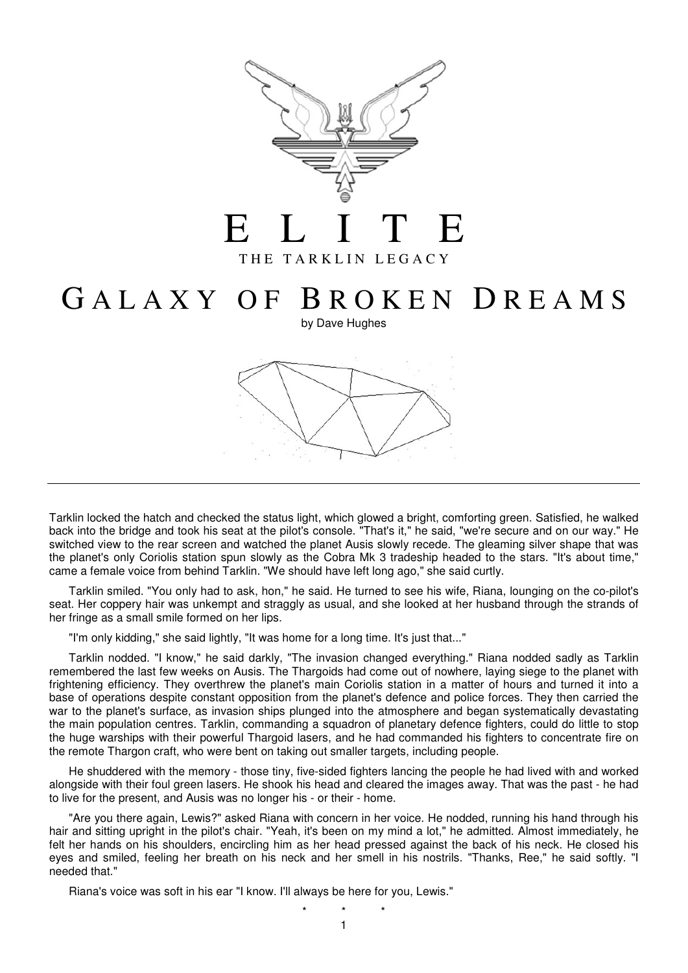

## G A L A X Y O F B R O K E N D R E A M S

by Dave Hughes



Tarklin locked the hatch and checked the status light, which glowed a bright, comforting green. Satisfied, he walked back into the bridge and took his seat at the pilot's console. "That's it," he said, "we're secure and on our way." He switched view to the rear screen and watched the planet Ausis slowly recede. The gleaming silver shape that was the planet's only Coriolis station spun slowly as the Cobra Mk 3 tradeship headed to the stars. "It's about time," came a female voice from behind Tarklin. "We should have left long ago," she said curtly.

 Tarklin smiled. "You only had to ask, hon," he said. He turned to see his wife, Riana, lounging on the co-pilot's seat. Her coppery hair was unkempt and straggly as usual, and she looked at her husband through the strands of her fringe as a small smile formed on her lips.

"I'm only kidding," she said lightly, "It was home for a long time. It's just that..."

 Tarklin nodded. "I know," he said darkly, "The invasion changed everything." Riana nodded sadly as Tarklin remembered the last few weeks on Ausis. The Thargoids had come out of nowhere, laying siege to the planet with frightening efficiency. They overthrew the planet's main Coriolis station in a matter of hours and turned it into a base of operations despite constant opposition from the planet's defence and police forces. They then carried the war to the planet's surface, as invasion ships plunged into the atmosphere and began systematically devastating the main population centres. Tarklin, commanding a squadron of planetary defence fighters, could do little to stop the huge warships with their powerful Thargoid lasers, and he had commanded his fighters to concentrate fire on the remote Thargon craft, who were bent on taking out smaller targets, including people.

 He shuddered with the memory - those tiny, five-sided fighters lancing the people he had lived with and worked alongside with their foul green lasers. He shook his head and cleared the images away. That was the past - he had to live for the present, and Ausis was no longer his - or their - home.

 "Are you there again, Lewis?" asked Riana with concern in her voice. He nodded, running his hand through his hair and sitting upright in the pilot's chair. "Yeah, it's been on my mind a lot," he admitted. Almost immediately, he felt her hands on his shoulders, encircling him as her head pressed against the back of his neck. He closed his eyes and smiled, feeling her breath on his neck and her smell in his nostrils. "Thanks, Ree," he said softly. "I needed that."

Riana's voice was soft in his ear "I know. I'll always be here for you, Lewis."

1 \* \* \*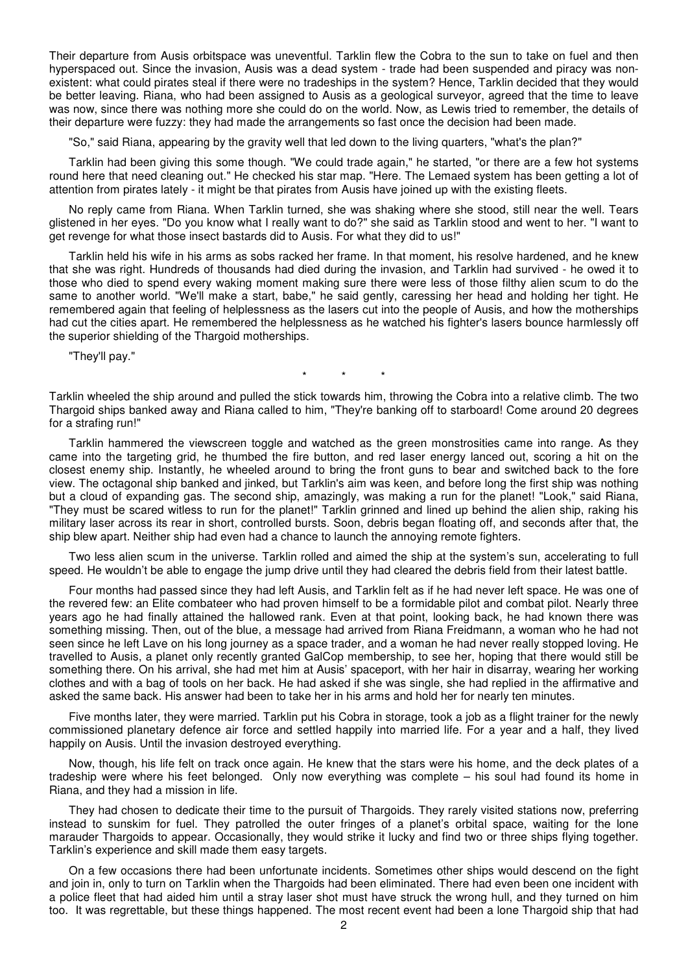Their departure from Ausis orbitspace was uneventful. Tarklin flew the Cobra to the sun to take on fuel and then hyperspaced out. Since the invasion, Ausis was a dead system - trade had been suspended and piracy was nonexistent: what could pirates steal if there were no tradeships in the system? Hence, Tarklin decided that they would be better leaving. Riana, who had been assigned to Ausis as a geological surveyor, agreed that the time to leave was now, since there was nothing more she could do on the world. Now, as Lewis tried to remember, the details of their departure were fuzzy: they had made the arrangements so fast once the decision had been made.

"So," said Riana, appearing by the gravity well that led down to the living quarters, "what's the plan?"

 Tarklin had been giving this some though. "We could trade again," he started, "or there are a few hot systems round here that need cleaning out." He checked his star map. "Here. The Lemaed system has been getting a lot of attention from pirates lately - it might be that pirates from Ausis have joined up with the existing fleets.

 No reply came from Riana. When Tarklin turned, she was shaking where she stood, still near the well. Tears glistened in her eyes. "Do you know what I really want to do?" she said as Tarklin stood and went to her. "I want to get revenge for what those insect bastards did to Ausis. For what they did to us!"

 Tarklin held his wife in his arms as sobs racked her frame. In that moment, his resolve hardened, and he knew that she was right. Hundreds of thousands had died during the invasion, and Tarklin had survived - he owed it to those who died to spend every waking moment making sure there were less of those filthy alien scum to do the same to another world. "We'll make a start, babe," he said gently, caressing her head and holding her tight. He remembered again that feeling of helplessness as the lasers cut into the people of Ausis, and how the motherships had cut the cities apart. He remembered the helplessness as he watched his fighter's lasers bounce harmlessly off the superior shielding of the Thargoid motherships.

"They'll pay."

\* \* \*

Tarklin wheeled the ship around and pulled the stick towards him, throwing the Cobra into a relative climb. The two Thargoid ships banked away and Riana called to him, "They're banking off to starboard! Come around 20 degrees for a strafing run!"

 Tarklin hammered the viewscreen toggle and watched as the green monstrosities came into range. As they came into the targeting grid, he thumbed the fire button, and red laser energy lanced out, scoring a hit on the closest enemy ship. Instantly, he wheeled around to bring the front guns to bear and switched back to the fore view. The octagonal ship banked and jinked, but Tarklin's aim was keen, and before long the first ship was nothing but a cloud of expanding gas. The second ship, amazingly, was making a run for the planet! "Look," said Riana, "They must be scared witless to run for the planet!" Tarklin grinned and lined up behind the alien ship, raking his military laser across its rear in short, controlled bursts. Soon, debris began floating off, and seconds after that, the ship blew apart. Neither ship had even had a chance to launch the annoying remote fighters.

 Two less alien scum in the universe. Tarklin rolled and aimed the ship at the system's sun, accelerating to full speed. He wouldn't be able to engage the jump drive until they had cleared the debris field from their latest battle.

 Four months had passed since they had left Ausis, and Tarklin felt as if he had never left space. He was one of the revered few: an Elite combateer who had proven himself to be a formidable pilot and combat pilot. Nearly three years ago he had finally attained the hallowed rank. Even at that point, looking back, he had known there was something missing. Then, out of the blue, a message had arrived from Riana Freidmann, a woman who he had not seen since he left Lave on his long journey as a space trader, and a woman he had never really stopped loving. He travelled to Ausis, a planet only recently granted GalCop membership, to see her, hoping that there would still be something there. On his arrival, she had met him at Ausis' spaceport, with her hair in disarray, wearing her working clothes and with a bag of tools on her back. He had asked if she was single, she had replied in the affirmative and asked the same back. His answer had been to take her in his arms and hold her for nearly ten minutes.

 Five months later, they were married. Tarklin put his Cobra in storage, took a job as a flight trainer for the newly commissioned planetary defence air force and settled happily into married life. For a year and a half, they lived happily on Ausis. Until the invasion destroyed everything.

 Now, though, his life felt on track once again. He knew that the stars were his home, and the deck plates of a tradeship were where his feet belonged. Only now everything was complete – his soul had found its home in Riana, and they had a mission in life.

 They had chosen to dedicate their time to the pursuit of Thargoids. They rarely visited stations now, preferring instead to sunskim for fuel. They patrolled the outer fringes of a planet's orbital space, waiting for the lone marauder Thargoids to appear. Occasionally, they would strike it lucky and find two or three ships flying together. Tarklin's experience and skill made them easy targets.

 On a few occasions there had been unfortunate incidents. Sometimes other ships would descend on the fight and join in, only to turn on Tarklin when the Thargoids had been eliminated. There had even been one incident with a police fleet that had aided him until a stray laser shot must have struck the wrong hull, and they turned on him too. It was regrettable, but these things happened. The most recent event had been a lone Thargoid ship that had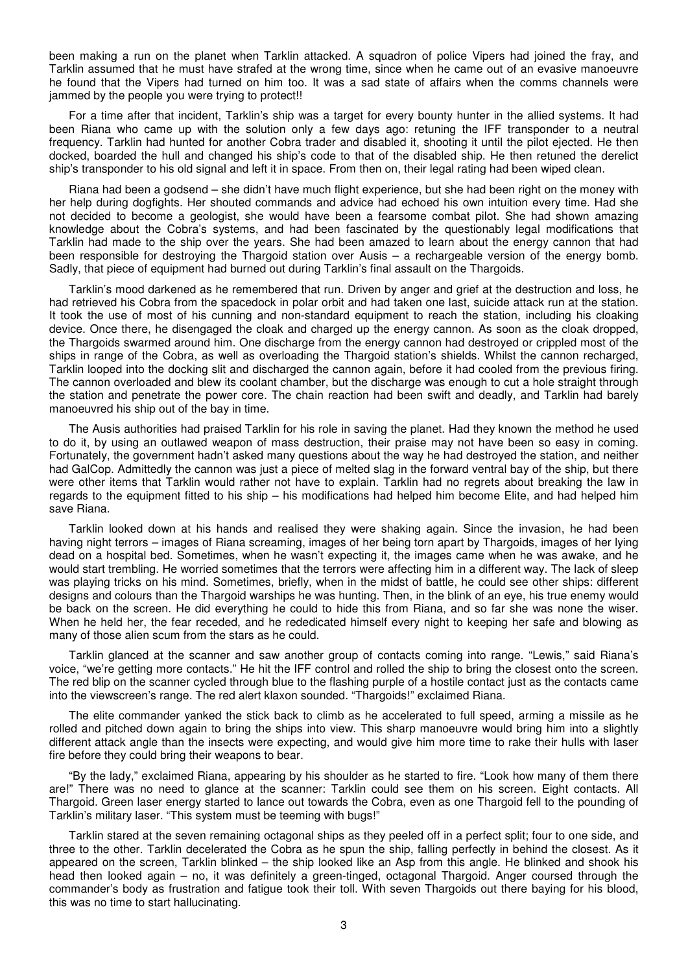been making a run on the planet when Tarklin attacked. A squadron of police Vipers had joined the fray, and Tarklin assumed that he must have strafed at the wrong time, since when he came out of an evasive manoeuvre he found that the Vipers had turned on him too. It was a sad state of affairs when the comms channels were jammed by the people you were trying to protect!!

 For a time after that incident, Tarklin's ship was a target for every bounty hunter in the allied systems. It had been Riana who came up with the solution only a few days ago: retuning the IFF transponder to a neutral frequency. Tarklin had hunted for another Cobra trader and disabled it, shooting it until the pilot ejected. He then docked, boarded the hull and changed his ship's code to that of the disabled ship. He then retuned the derelict ship's transponder to his old signal and left it in space. From then on, their legal rating had been wiped clean.

 Riana had been a godsend – she didn't have much flight experience, but she had been right on the money with her help during dogfights. Her shouted commands and advice had echoed his own intuition every time. Had she not decided to become a geologist, she would have been a fearsome combat pilot. She had shown amazing knowledge about the Cobra's systems, and had been fascinated by the questionably legal modifications that Tarklin had made to the ship over the years. She had been amazed to learn about the energy cannon that had been responsible for destroying the Thargoid station over Ausis – a rechargeable version of the energy bomb. Sadly, that piece of equipment had burned out during Tarklin's final assault on the Thargoids.

 Tarklin's mood darkened as he remembered that run. Driven by anger and grief at the destruction and loss, he had retrieved his Cobra from the spacedock in polar orbit and had taken one last, suicide attack run at the station. It took the use of most of his cunning and non-standard equipment to reach the station, including his cloaking device. Once there, he disengaged the cloak and charged up the energy cannon. As soon as the cloak dropped, the Thargoids swarmed around him. One discharge from the energy cannon had destroyed or crippled most of the ships in range of the Cobra, as well as overloading the Thargoid station's shields. Whilst the cannon recharged, Tarklin looped into the docking slit and discharged the cannon again, before it had cooled from the previous firing. The cannon overloaded and blew its coolant chamber, but the discharge was enough to cut a hole straight through the station and penetrate the power core. The chain reaction had been swift and deadly, and Tarklin had barely manoeuvred his ship out of the bay in time.

 The Ausis authorities had praised Tarklin for his role in saving the planet. Had they known the method he used to do it, by using an outlawed weapon of mass destruction, their praise may not have been so easy in coming. Fortunately, the government hadn't asked many questions about the way he had destroyed the station, and neither had GalCop. Admittedly the cannon was just a piece of melted slag in the forward ventral bay of the ship, but there were other items that Tarklin would rather not have to explain. Tarklin had no regrets about breaking the law in regards to the equipment fitted to his ship – his modifications had helped him become Elite, and had helped him save Riana.

 Tarklin looked down at his hands and realised they were shaking again. Since the invasion, he had been having night terrors – images of Riana screaming, images of her being torn apart by Thargoids, images of her lying dead on a hospital bed. Sometimes, when he wasn't expecting it, the images came when he was awake, and he would start trembling. He worried sometimes that the terrors were affecting him in a different way. The lack of sleep was playing tricks on his mind. Sometimes, briefly, when in the midst of battle, he could see other ships: different designs and colours than the Thargoid warships he was hunting. Then, in the blink of an eye, his true enemy would be back on the screen. He did everything he could to hide this from Riana, and so far she was none the wiser. When he held her, the fear receded, and he rededicated himself every night to keeping her safe and blowing as many of those alien scum from the stars as he could.

 Tarklin glanced at the scanner and saw another group of contacts coming into range. "Lewis," said Riana's voice, "we're getting more contacts." He hit the IFF control and rolled the ship to bring the closest onto the screen. The red blip on the scanner cycled through blue to the flashing purple of a hostile contact just as the contacts came into the viewscreen's range. The red alert klaxon sounded. "Thargoids!" exclaimed Riana.

 The elite commander yanked the stick back to climb as he accelerated to full speed, arming a missile as he rolled and pitched down again to bring the ships into view. This sharp manoeuvre would bring him into a slightly different attack angle than the insects were expecting, and would give him more time to rake their hulls with laser fire before they could bring their weapons to bear.

 "By the lady," exclaimed Riana, appearing by his shoulder as he started to fire. "Look how many of them there are!" There was no need to glance at the scanner: Tarklin could see them on his screen. Eight contacts. All Thargoid. Green laser energy started to lance out towards the Cobra, even as one Thargoid fell to the pounding of Tarklin's military laser. "This system must be teeming with bugs!"

 Tarklin stared at the seven remaining octagonal ships as they peeled off in a perfect split; four to one side, and three to the other. Tarklin decelerated the Cobra as he spun the ship, falling perfectly in behind the closest. As it appeared on the screen, Tarklin blinked – the ship looked like an Asp from this angle. He blinked and shook his head then looked again – no, it was definitely a green-tinged, octagonal Thargoid. Anger coursed through the commander's body as frustration and fatigue took their toll. With seven Thargoids out there baying for his blood, this was no time to start hallucinating.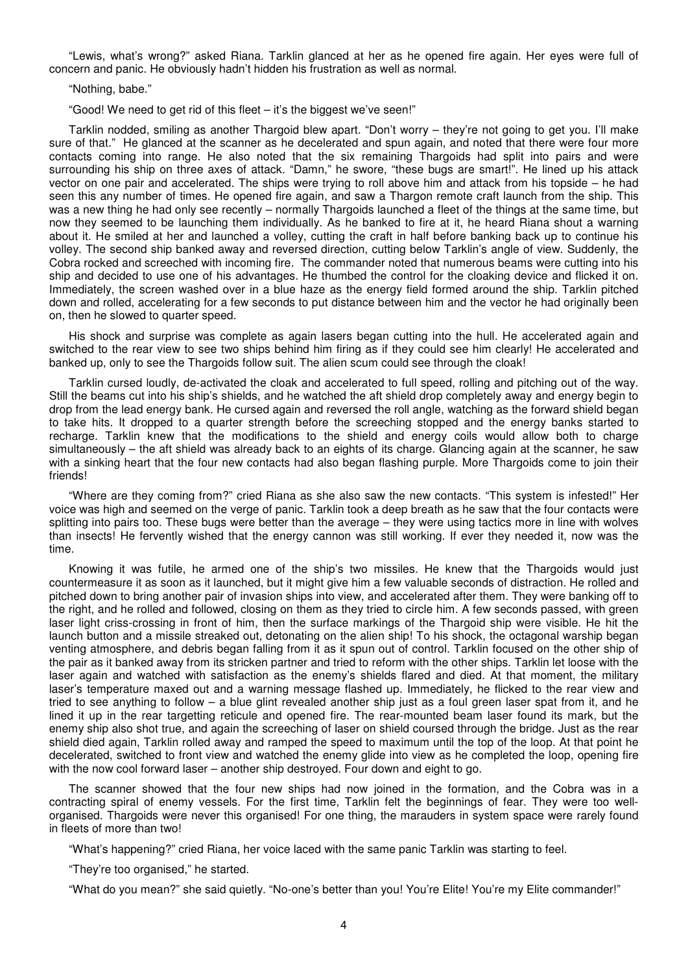"Lewis, what's wrong?" asked Riana. Tarklin glanced at her as he opened fire again. Her eyes were full of concern and panic. He obviously hadn't hidden his frustration as well as normal.

"Nothing, babe."

"Good! We need to get rid of this fleet – it's the biggest we've seen!"

 Tarklin nodded, smiling as another Thargoid blew apart. "Don't worry – they're not going to get you. I'll make sure of that." He glanced at the scanner as he decelerated and spun again, and noted that there were four more contacts coming into range. He also noted that the six remaining Thargoids had split into pairs and were surrounding his ship on three axes of attack. "Damn," he swore, "these bugs are smart!". He lined up his attack vector on one pair and accelerated. The ships were trying to roll above him and attack from his topside – he had seen this any number of times. He opened fire again, and saw a Thargon remote craft launch from the ship. This was a new thing he had only see recently – normally Thargoids launched a fleet of the things at the same time, but now they seemed to be launching them individually. As he banked to fire at it, he heard Riana shout a warning about it. He smiled at her and launched a volley, cutting the craft in half before banking back up to continue his volley. The second ship banked away and reversed direction, cutting below Tarklin's angle of view. Suddenly, the Cobra rocked and screeched with incoming fire. The commander noted that numerous beams were cutting into his ship and decided to use one of his advantages. He thumbed the control for the cloaking device and flicked it on. Immediately, the screen washed over in a blue haze as the energy field formed around the ship. Tarklin pitched down and rolled, accelerating for a few seconds to put distance between him and the vector he had originally been on, then he slowed to quarter speed.

 His shock and surprise was complete as again lasers began cutting into the hull. He accelerated again and switched to the rear view to see two ships behind him firing as if they could see him clearly! He accelerated and banked up, only to see the Thargoids follow suit. The alien scum could see through the cloak!

 Tarklin cursed loudly, de-activated the cloak and accelerated to full speed, rolling and pitching out of the way. Still the beams cut into his ship's shields, and he watched the aft shield drop completely away and energy begin to drop from the lead energy bank. He cursed again and reversed the roll angle, watching as the forward shield began to take hits. It dropped to a quarter strength before the screeching stopped and the energy banks started to recharge. Tarklin knew that the modifications to the shield and energy coils would allow both to charge simultaneously – the aft shield was already back to an eights of its charge. Glancing again at the scanner, he saw with a sinking heart that the four new contacts had also began flashing purple. More Thargoids come to join their friends!

 "Where are they coming from?" cried Riana as she also saw the new contacts. "This system is infested!" Her voice was high and seemed on the verge of panic. Tarklin took a deep breath as he saw that the four contacts were splitting into pairs too. These bugs were better than the average – they were using tactics more in line with wolves than insects! He fervently wished that the energy cannon was still working. If ever they needed it, now was the time.

 Knowing it was futile, he armed one of the ship's two missiles. He knew that the Thargoids would just countermeasure it as soon as it launched, but it might give him a few valuable seconds of distraction. He rolled and pitched down to bring another pair of invasion ships into view, and accelerated after them. They were banking off to the right, and he rolled and followed, closing on them as they tried to circle him. A few seconds passed, with green laser light criss-crossing in front of him, then the surface markings of the Thargoid ship were visible. He hit the launch button and a missile streaked out, detonating on the alien ship! To his shock, the octagonal warship began venting atmosphere, and debris began falling from it as it spun out of control. Tarklin focused on the other ship of the pair as it banked away from its stricken partner and tried to reform with the other ships. Tarklin let loose with the laser again and watched with satisfaction as the enemy's shields flared and died. At that moment, the military laser's temperature maxed out and a warning message flashed up. Immediately, he flicked to the rear view and tried to see anything to follow – a blue glint revealed another ship just as a foul green laser spat from it, and he lined it up in the rear targetting reticule and opened fire. The rear-mounted beam laser found its mark, but the enemy ship also shot true, and again the screeching of laser on shield coursed through the bridge. Just as the rear shield died again, Tarklin rolled away and ramped the speed to maximum until the top of the loop. At that point he decelerated, switched to front view and watched the enemy glide into view as he completed the loop, opening fire with the now cool forward laser – another ship destroyed. Four down and eight to go.

 The scanner showed that the four new ships had now joined in the formation, and the Cobra was in a contracting spiral of enemy vessels. For the first time, Tarklin felt the beginnings of fear. They were too wellorganised. Thargoids were never this organised! For one thing, the marauders in system space were rarely found in fleets of more than two!

"What's happening?" cried Riana, her voice laced with the same panic Tarklin was starting to feel.

"They're too organised," he started.

"What do you mean?" she said quietly. "No-one's better than you! You're Elite! You're my Elite commander!"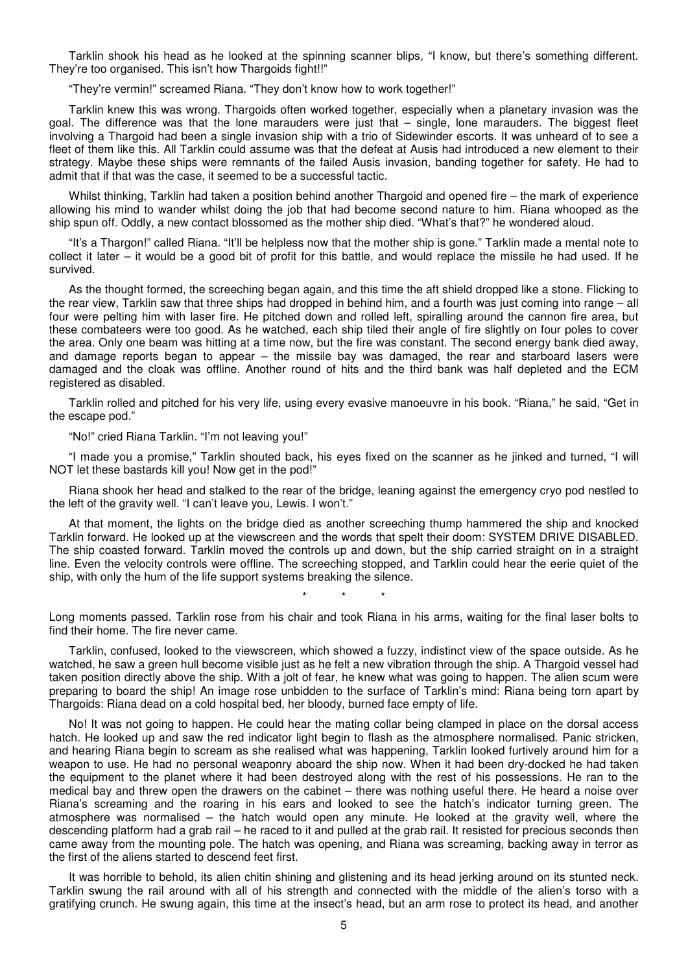Tarklin shook his head as he looked at the spinning scanner blips, "I know, but there's something different. They're too organised. This isn't how Thargoids fight!!"

"They're vermin!" screamed Riana. "They don't know how to work together!"

 Tarklin knew this was wrong. Thargoids often worked together, especially when a planetary invasion was the goal. The difference was that the lone marauders were just that – single, lone marauders. The biggest fleet involving a Thargoid had been a single invasion ship with a trio of Sidewinder escorts. It was unheard of to see a fleet of them like this. All Tarklin could assume was that the defeat at Ausis had introduced a new element to their strategy. Maybe these ships were remnants of the failed Ausis invasion, banding together for safety. He had to admit that if that was the case, it seemed to be a successful tactic.

Whilst thinking, Tarklin had taken a position behind another Thargoid and opened fire – the mark of experience allowing his mind to wander whilst doing the job that had become second nature to him. Riana whooped as the ship spun off. Oddly, a new contact blossomed as the mother ship died. "What's that?" he wondered aloud.

 "It's a Thargon!" called Riana. "It'll be helpless now that the mother ship is gone." Tarklin made a mental note to collect it later – it would be a good bit of profit for this battle, and would replace the missile he had used. If he survived.

 As the thought formed, the screeching began again, and this time the aft shield dropped like a stone. Flicking to the rear view, Tarklin saw that three ships had dropped in behind him, and a fourth was just coming into range – all four were pelting him with laser fire. He pitched down and rolled left, spiralling around the cannon fire area, but these combateers were too good. As he watched, each ship tiled their angle of fire slightly on four poles to cover the area. Only one beam was hitting at a time now, but the fire was constant. The second energy bank died away, and damage reports began to appear – the missile bay was damaged, the rear and starboard lasers were damaged and the cloak was offline. Another round of hits and the third bank was half depleted and the ECM registered as disabled.

 Tarklin rolled and pitched for his very life, using every evasive manoeuvre in his book. "Riana," he said, "Get in the escape pod."

"No!" cried Riana Tarklin. "I'm not leaving you!"

 "I made you a promise," Tarklin shouted back, his eyes fixed on the scanner as he jinked and turned, "I will NOT let these bastards kill you! Now get in the pod!"

 Riana shook her head and stalked to the rear of the bridge, leaning against the emergency cryo pod nestled to the left of the gravity well. "I can't leave you, Lewis. I won't."

 At that moment, the lights on the bridge died as another screeching thump hammered the ship and knocked Tarklin forward. He looked up at the viewscreen and the words that spelt their doom: SYSTEM DRIVE DISABLED. The ship coasted forward. Tarklin moved the controls up and down, but the ship carried straight on in a straight line. Even the velocity controls were offline. The screeching stopped, and Tarklin could hear the eerie quiet of the ship, with only the hum of the life support systems breaking the silence.

\* \* \*

Long moments passed. Tarklin rose from his chair and took Riana in his arms, waiting for the final laser bolts to find their home. The fire never came.

 Tarklin, confused, looked to the viewscreen, which showed a fuzzy, indistinct view of the space outside. As he watched, he saw a green hull become visible just as he felt a new vibration through the ship. A Thargoid vessel had taken position directly above the ship. With a jolt of fear, he knew what was going to happen. The alien scum were preparing to board the ship! An image rose unbidden to the surface of Tarklin's mind: Riana being torn apart by Thargoids: Riana dead on a cold hospital bed, her bloody, burned face empty of life.

 No! It was not going to happen. He could hear the mating collar being clamped in place on the dorsal access hatch. He looked up and saw the red indicator light begin to flash as the atmosphere normalised. Panic stricken, and hearing Riana begin to scream as she realised what was happening, Tarklin looked furtively around him for a weapon to use. He had no personal weaponry aboard the ship now. When it had been dry-docked he had taken the equipment to the planet where it had been destroyed along with the rest of his possessions. He ran to the medical bay and threw open the drawers on the cabinet – there was nothing useful there. He heard a noise over Riana's screaming and the roaring in his ears and looked to see the hatch's indicator turning green. The atmosphere was normalised – the hatch would open any minute. He looked at the gravity well, where the descending platform had a grab rail – he raced to it and pulled at the grab rail. It resisted for precious seconds then came away from the mounting pole. The hatch was opening, and Riana was screaming, backing away in terror as the first of the aliens started to descend feet first.

 It was horrible to behold, its alien chitin shining and glistening and its head jerking around on its stunted neck. Tarklin swung the rail around with all of his strength and connected with the middle of the alien's torso with a gratifying crunch. He swung again, this time at the insect's head, but an arm rose to protect its head, and another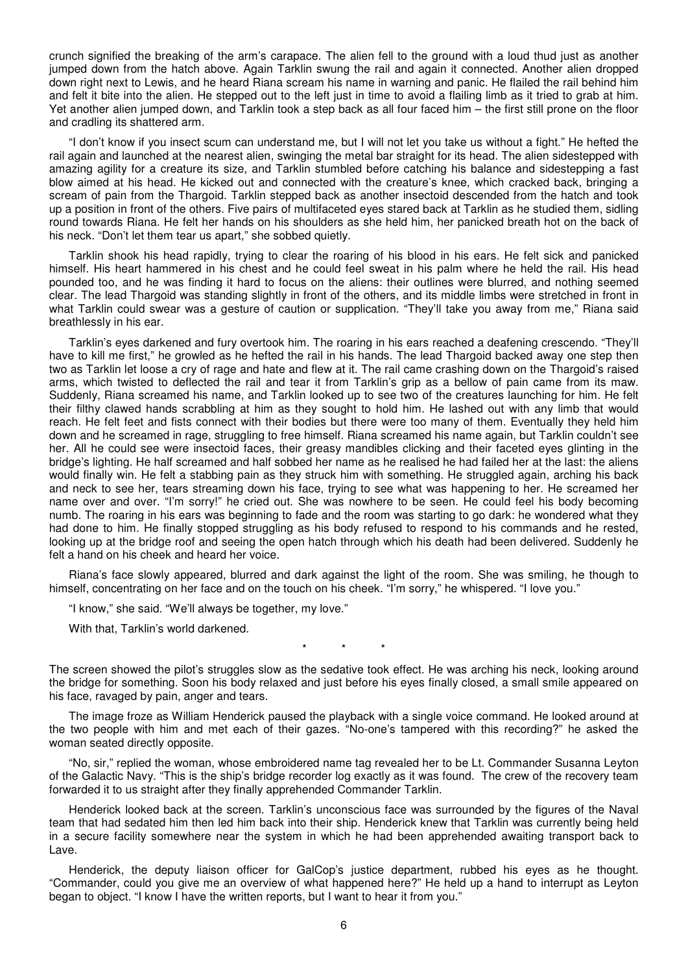crunch signified the breaking of the arm's carapace. The alien fell to the ground with a loud thud just as another jumped down from the hatch above. Again Tarklin swung the rail and again it connected. Another alien dropped down right next to Lewis, and he heard Riana scream his name in warning and panic. He flailed the rail behind him and felt it bite into the alien. He stepped out to the left just in time to avoid a flailing limb as it tried to grab at him. Yet another alien jumped down, and Tarklin took a step back as all four faced him – the first still prone on the floor and cradling its shattered arm.

 "I don't know if you insect scum can understand me, but I will not let you take us without a fight." He hefted the rail again and launched at the nearest alien, swinging the metal bar straight for its head. The alien sidestepped with amazing agility for a creature its size, and Tarklin stumbled before catching his balance and sidestepping a fast blow aimed at his head. He kicked out and connected with the creature's knee, which cracked back, bringing a scream of pain from the Thargoid. Tarklin stepped back as another insectoid descended from the hatch and took up a position in front of the others. Five pairs of multifaceted eyes stared back at Tarklin as he studied them, sidling round towards Riana. He felt her hands on his shoulders as she held him, her panicked breath hot on the back of his neck. "Don't let them tear us apart," she sobbed quietly.

 Tarklin shook his head rapidly, trying to clear the roaring of his blood in his ears. He felt sick and panicked himself. His heart hammered in his chest and he could feel sweat in his palm where he held the rail. His head pounded too, and he was finding it hard to focus on the aliens: their outlines were blurred, and nothing seemed clear. The lead Thargoid was standing slightly in front of the others, and its middle limbs were stretched in front in what Tarklin could swear was a gesture of caution or supplication. "They'll take you away from me," Riana said breathlessly in his ear.

 Tarklin's eyes darkened and fury overtook him. The roaring in his ears reached a deafening crescendo. "They'll have to kill me first," he growled as he hefted the rail in his hands. The lead Thargoid backed away one step then two as Tarklin let loose a cry of rage and hate and flew at it. The rail came crashing down on the Thargoid's raised arms, which twisted to deflected the rail and tear it from Tarklin's grip as a bellow of pain came from its maw. Suddenly, Riana screamed his name, and Tarklin looked up to see two of the creatures launching for him. He felt their filthy clawed hands scrabbling at him as they sought to hold him. He lashed out with any limb that would reach. He felt feet and fists connect with their bodies but there were too many of them. Eventually they held him down and he screamed in rage, struggling to free himself. Riana screamed his name again, but Tarklin couldn't see her. All he could see were insectoid faces, their greasy mandibles clicking and their faceted eyes glinting in the bridge's lighting. He half screamed and half sobbed her name as he realised he had failed her at the last: the aliens would finally win. He felt a stabbing pain as they struck him with something. He struggled again, arching his back and neck to see her, tears streaming down his face, trying to see what was happening to her. He screamed her name over and over. "I'm sorry!" he cried out. She was nowhere to be seen. He could feel his body becoming numb. The roaring in his ears was beginning to fade and the room was starting to go dark: he wondered what they had done to him. He finally stopped struggling as his body refused to respond to his commands and he rested, looking up at the bridge roof and seeing the open hatch through which his death had been delivered. Suddenly he felt a hand on his cheek and heard her voice.

 Riana's face slowly appeared, blurred and dark against the light of the room. She was smiling, he though to himself, concentrating on her face and on the touch on his cheek. "I'm sorry," he whispered. "I love you."

"I know," she said. "We'll always be together, my love."

With that, Tarklin's world darkened.

\* \* \*

The screen showed the pilot's struggles slow as the sedative took effect. He was arching his neck, looking around the bridge for something. Soon his body relaxed and just before his eyes finally closed, a small smile appeared on his face, ravaged by pain, anger and tears.

 The image froze as William Henderick paused the playback with a single voice command. He looked around at the two people with him and met each of their gazes. "No-one's tampered with this recording?" he asked the woman seated directly opposite.

 "No, sir," replied the woman, whose embroidered name tag revealed her to be Lt. Commander Susanna Leyton of the Galactic Navy. "This is the ship's bridge recorder log exactly as it was found. The crew of the recovery team forwarded it to us straight after they finally apprehended Commander Tarklin.

 Henderick looked back at the screen. Tarklin's unconscious face was surrounded by the figures of the Naval team that had sedated him then led him back into their ship. Henderick knew that Tarklin was currently being held in a secure facility somewhere near the system in which he had been apprehended awaiting transport back to Lave.

 Henderick, the deputy liaison officer for GalCop's justice department, rubbed his eyes as he thought. "Commander, could you give me an overview of what happened here?" He held up a hand to interrupt as Leyton began to object. "I know I have the written reports, but I want to hear it from you."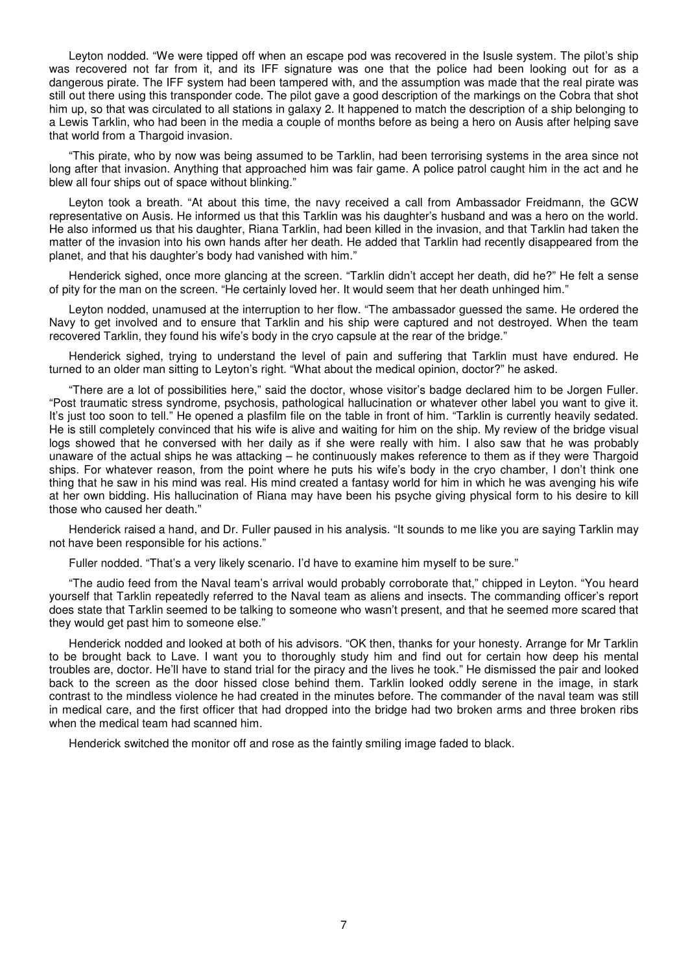Leyton nodded. "We were tipped off when an escape pod was recovered in the Isusle system. The pilot's ship was recovered not far from it, and its IFF signature was one that the police had been looking out for as a dangerous pirate. The IFF system had been tampered with, and the assumption was made that the real pirate was still out there using this transponder code. The pilot gave a good description of the markings on the Cobra that shot him up, so that was circulated to all stations in galaxy 2. It happened to match the description of a ship belonging to a Lewis Tarklin, who had been in the media a couple of months before as being a hero on Ausis after helping save that world from a Thargoid invasion.

 "This pirate, who by now was being assumed to be Tarklin, had been terrorising systems in the area since not long after that invasion. Anything that approached him was fair game. A police patrol caught him in the act and he blew all four ships out of space without blinking."

 Leyton took a breath. "At about this time, the navy received a call from Ambassador Freidmann, the GCW representative on Ausis. He informed us that this Tarklin was his daughter's husband and was a hero on the world. He also informed us that his daughter, Riana Tarklin, had been killed in the invasion, and that Tarklin had taken the matter of the invasion into his own hands after her death. He added that Tarklin had recently disappeared from the planet, and that his daughter's body had vanished with him."

 Henderick sighed, once more glancing at the screen. "Tarklin didn't accept her death, did he?" He felt a sense of pity for the man on the screen. "He certainly loved her. It would seem that her death unhinged him."

 Leyton nodded, unamused at the interruption to her flow. "The ambassador guessed the same. He ordered the Navy to get involved and to ensure that Tarklin and his ship were captured and not destroyed. When the team recovered Tarklin, they found his wife's body in the cryo capsule at the rear of the bridge."

 Henderick sighed, trying to understand the level of pain and suffering that Tarklin must have endured. He turned to an older man sitting to Leyton's right. "What about the medical opinion, doctor?" he asked.

 "There are a lot of possibilities here," said the doctor, whose visitor's badge declared him to be Jorgen Fuller. "Post traumatic stress syndrome, psychosis, pathological hallucination or whatever other label you want to give it. It's just too soon to tell." He opened a plasfilm file on the table in front of him. "Tarklin is currently heavily sedated. He is still completely convinced that his wife is alive and waiting for him on the ship. My review of the bridge visual logs showed that he conversed with her daily as if she were really with him. I also saw that he was probably unaware of the actual ships he was attacking – he continuously makes reference to them as if they were Thargoid ships. For whatever reason, from the point where he puts his wife's body in the cryo chamber, I don't think one thing that he saw in his mind was real. His mind created a fantasy world for him in which he was avenging his wife at her own bidding. His hallucination of Riana may have been his psyche giving physical form to his desire to kill those who caused her death."

 Henderick raised a hand, and Dr. Fuller paused in his analysis. "It sounds to me like you are saying Tarklin may not have been responsible for his actions."

Fuller nodded. "That's a very likely scenario. I'd have to examine him myself to be sure."

 "The audio feed from the Naval team's arrival would probably corroborate that," chipped in Leyton. "You heard yourself that Tarklin repeatedly referred to the Naval team as aliens and insects. The commanding officer's report does state that Tarklin seemed to be talking to someone who wasn't present, and that he seemed more scared that they would get past him to someone else."

 Henderick nodded and looked at both of his advisors. "OK then, thanks for your honesty. Arrange for Mr Tarklin to be brought back to Lave. I want you to thoroughly study him and find out for certain how deep his mental troubles are, doctor. He'll have to stand trial for the piracy and the lives he took." He dismissed the pair and looked back to the screen as the door hissed close behind them. Tarklin looked oddly serene in the image, in stark contrast to the mindless violence he had created in the minutes before. The commander of the naval team was still in medical care, and the first officer that had dropped into the bridge had two broken arms and three broken ribs when the medical team had scanned him.

Henderick switched the monitor off and rose as the faintly smiling image faded to black.